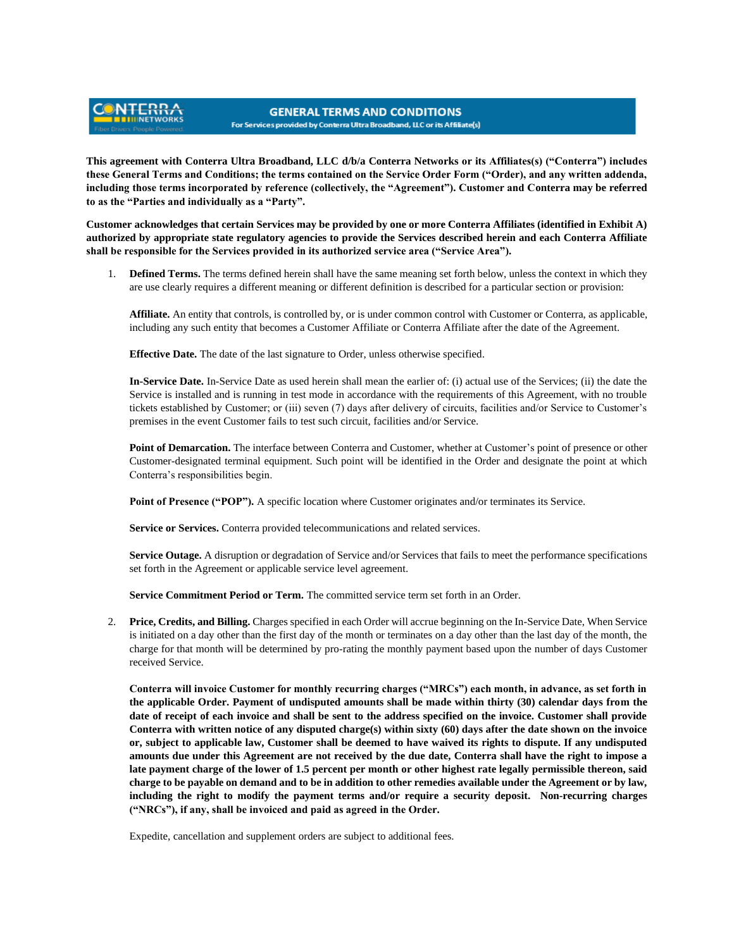## **GENERAL TERMS AND CONDITIONS** For Services provided by Conterra Ultra Broadband, LLC or its Affiliate(s)

**This agreement with Conterra Ultra Broadband, LLC d/b/a Conterra Networks or its Affiliates(s) ("Conterra") includes these General Terms and Conditions; the terms contained on the Service Order Form ("Order), and any written addenda, including those terms incorporated by reference (collectively, the "Agreement"). Customer and Conterra may be referred to as the "Parties and individually as a "Party".** 

**Customer acknowledges that certain Services may be provided by one or more Conterra Affiliates (identified in Exhibit A) authorized by appropriate state regulatory agencies to provide the Services described herein and each Conterra Affiliate shall be responsible for the Services provided in its authorized service area ("Service Area").**

1. **Defined Terms.** The terms defined herein shall have the same meaning set forth below, unless the context in which they are use clearly requires a different meaning or different definition is described for a particular section or provision:

**Affiliate.** An entity that controls, is controlled by, or is under common control with Customer or Conterra, as applicable, including any such entity that becomes a Customer Affiliate or Conterra Affiliate after the date of the Agreement.

**Effective Date.** The date of the last signature to Order, unless otherwise specified.

**NTERR,** 

**In-Service Date.** In-Service Date as used herein shall mean the earlier of: (i) actual use of the Services; (ii) the date the Service is installed and is running in test mode in accordance with the requirements of this Agreement, with no trouble tickets established by Customer; or (iii) seven (7) days after delivery of circuits, facilities and/or Service to Customer's premises in the event Customer fails to test such circuit, facilities and/or Service.

**Point of Demarcation.** The interface between Conterra and Customer, whether at Customer's point of presence or other Customer-designated terminal equipment. Such point will be identified in the Order and designate the point at which Conterra's responsibilities begin.

**Point of Presence ("POP").** A specific location where Customer originates and/or terminates its Service.

**Service or Services.** Conterra provided telecommunications and related services.

**Service Outage.** A disruption or degradation of Service and/or Services that fails to meet the performance specifications set forth in the Agreement or applicable service level agreement.

**Service Commitment Period or Term.** The committed service term set forth in an Order.

2. **Price, Credits, and Billing.** Charges specified in each Order will accrue beginning on the In-Service Date, When Service is initiated on a day other than the first day of the month or terminates on a day other than the last day of the month, the charge for that month will be determined by pro-rating the monthly payment based upon the number of days Customer received Service.

**Conterra will invoice Customer for monthly recurring charges ("MRCs") each month, in advance, as set forth in the applicable Order. Payment of undisputed amounts shall be made within thirty (30) calendar days from the date of receipt of each invoice and shall be sent to the address specified on the invoice. Customer shall provide Conterra with written notice of any disputed charge(s) within sixty (60) days after the date shown on the invoice or, subject to applicable law, Customer shall be deemed to have waived its rights to dispute. If any undisputed amounts due under this Agreement are not received by the due date, Conterra shall have the right to impose a late payment charge of the lower of 1.5 percent per month or other highest rate legally permissible thereon, said charge to be payable on demand and to be in addition to other remedies available under the Agreement or by law, including the right to modify the payment terms and/or require a security deposit. Non-recurring charges ("NRCs"), if any, shall be invoiced and paid as agreed in the Order.**

Expedite, cancellation and supplement orders are subject to additional fees.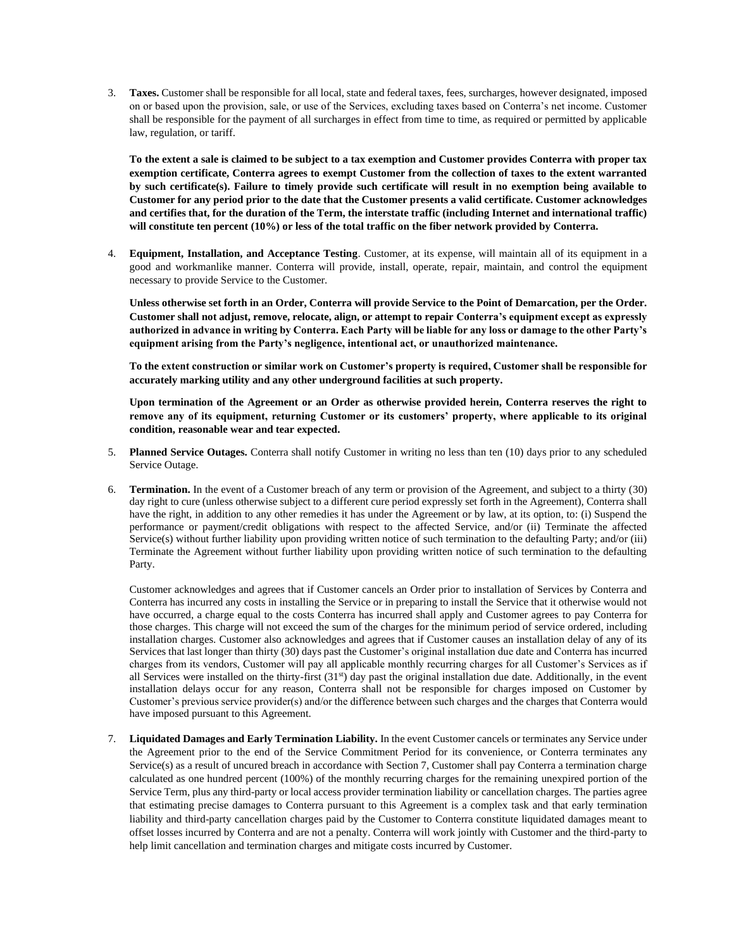3. **Taxes.** Customer shall be responsible for all local, state and federal taxes, fees, surcharges, however designated, imposed on or based upon the provision, sale, or use of the Services, excluding taxes based on Conterra's net income. Customer shall be responsible for the payment of all surcharges in effect from time to time, as required or permitted by applicable law, regulation, or tariff.

**To the extent a sale is claimed to be subject to a tax exemption and Customer provides Conterra with proper tax exemption certificate, Conterra agrees to exempt Customer from the collection of taxes to the extent warranted by such certificate(s). Failure to timely provide such certificate will result in no exemption being available to Customer for any period prior to the date that the Customer presents a valid certificate. Customer acknowledges and certifies that, for the duration of the Term, the interstate traffic (including Internet and international traffic) will constitute ten percent (10%) or less of the total traffic on the fiber network provided by Conterra.**

4. **Equipment, Installation, and Acceptance Testing**. Customer, at its expense, will maintain all of its equipment in a good and workmanlike manner. Conterra will provide, install, operate, repair, maintain, and control the equipment necessary to provide Service to the Customer.

**Unless otherwise set forth in an Order, Conterra will provide Service to the Point of Demarcation, per the Order. Customer shall not adjust, remove, relocate, align, or attempt to repair Conterra's equipment except as expressly authorized in advance in writing by Conterra. Each Party will be liable for any loss or damage to the other Party's equipment arising from the Party's negligence, intentional act, or unauthorized maintenance.**

**To the extent construction or similar work on Customer's property is required, Customer shall be responsible for accurately marking utility and any other underground facilities at such property.**

**Upon termination of the Agreement or an Order as otherwise provided herein, Conterra reserves the right to remove any of its equipment, returning Customer or its customers' property, where applicable to its original condition, reasonable wear and tear expected.** 

- 5. **Planned Service Outages.** Conterra shall notify Customer in writing no less than ten (10) days prior to any scheduled Service Outage.
- 6. **Termination.** In the event of a Customer breach of any term or provision of the Agreement, and subject to a thirty (30) day right to cure (unless otherwise subject to a different cure period expressly set forth in the Agreement), Conterra shall have the right, in addition to any other remedies it has under the Agreement or by law, at its option, to: (i) Suspend the performance or payment/credit obligations with respect to the affected Service, and/or (ii) Terminate the affected Service(s) without further liability upon providing written notice of such termination to the defaulting Party; and/or (iii) Terminate the Agreement without further liability upon providing written notice of such termination to the defaulting Party.

Customer acknowledges and agrees that if Customer cancels an Order prior to installation of Services by Conterra and Conterra has incurred any costs in installing the Service or in preparing to install the Service that it otherwise would not have occurred, a charge equal to the costs Conterra has incurred shall apply and Customer agrees to pay Conterra for those charges. This charge will not exceed the sum of the charges for the minimum period of service ordered, including installation charges. Customer also acknowledges and agrees that if Customer causes an installation delay of any of its Services that last longer than thirty (30) days past the Customer's original installation due date and Conterra has incurred charges from its vendors, Customer will pay all applicable monthly recurring charges for all Customer's Services as if all Services were installed on the thirty-first  $(31<sup>st</sup>)$  day past the original installation due date. Additionally, in the event installation delays occur for any reason, Conterra shall not be responsible for charges imposed on Customer by Customer's previous service provider(s) and/or the difference between such charges and the charges that Conterra would have imposed pursuant to this Agreement.

7. **Liquidated Damages and Early Termination Liability.** In the event Customer cancels or terminates any Service under the Agreement prior to the end of the Service Commitment Period for its convenience, or Conterra terminates any Service(s) as a result of uncured breach in accordance with Section 7, Customer shall pay Conterra a termination charge calculated as one hundred percent (100%) of the monthly recurring charges for the remaining unexpired portion of the Service Term, plus any third-party or local access provider termination liability or cancellation charges. The parties agree that estimating precise damages to Conterra pursuant to this Agreement is a complex task and that early termination liability and third-party cancellation charges paid by the Customer to Conterra constitute liquidated damages meant to offset losses incurred by Conterra and are not a penalty. Conterra will work jointly with Customer and the third-party to help limit cancellation and termination charges and mitigate costs incurred by Customer.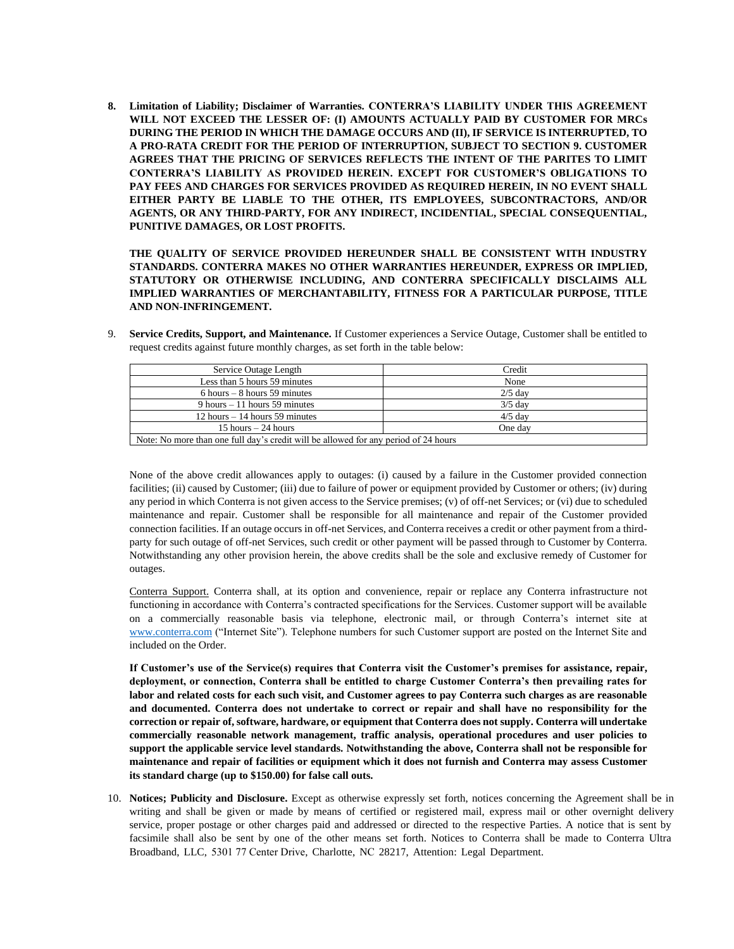**8. Limitation of Liability; Disclaimer of Warranties. CONTERRA'S LIABILITY UNDER THIS AGREEMENT WILL NOT EXCEED THE LESSER OF: (I) AMOUNTS ACTUALLY PAID BY CUSTOMER FOR MRCs DURING THE PERIOD IN WHICH THE DAMAGE OCCURS AND (II), IF SERVICE IS INTERRUPTED, TO A PRO-RATA CREDIT FOR THE PERIOD OF INTERRUPTION, SUBJECT TO SECTION 9. CUSTOMER AGREES THAT THE PRICING OF SERVICES REFLECTS THE INTENT OF THE PARITES TO LIMIT CONTERRA'S LIABILITY AS PROVIDED HEREIN. EXCEPT FOR CUSTOMER'S OBLIGATIONS TO PAY FEES AND CHARGES FOR SERVICES PROVIDED AS REQUIRED HEREIN, IN NO EVENT SHALL EITHER PARTY BE LIABLE TO THE OTHER, ITS EMPLOYEES, SUBCONTRACTORS, AND/OR AGENTS, OR ANY THIRD-PARTY, FOR ANY INDIRECT, INCIDENTIAL, SPECIAL CONSEQUENTIAL, PUNITIVE DAMAGES, OR LOST PROFITS.**

**THE QUALITY OF SERVICE PROVIDED HEREUNDER SHALL BE CONSISTENT WITH INDUSTRY STANDARDS. CONTERRA MAKES NO OTHER WARRANTIES HEREUNDER, EXPRESS OR IMPLIED, STATUTORY OR OTHERWISE INCLUDING, AND CONTERRA SPECIFICALLY DISCLAIMS ALL IMPLIED WARRANTIES OF MERCHANTABILITY, FITNESS FOR A PARTICULAR PURPOSE, TITLE AND NON-INFRINGEMENT.**

| Service Outage Length                                                               | Credit    |
|-------------------------------------------------------------------------------------|-----------|
| Less than 5 hours 59 minutes                                                        | None      |
| $6$ hours $-8$ hours 59 minutes                                                     | $2/5$ day |
| $9$ hours $-11$ hours 59 minutes                                                    | $3/5$ day |
| $12$ hours $-14$ hours 59 minutes                                                   | $4/5$ day |
| 15 hours $-24$ hours                                                                | One day   |
| Note: No more than one full day's credit will be allowed for any period of 24 hours |           |

9. **Service Credits, Support, and Maintenance.** If Customer experiences a Service Outage, Customer shall be entitled to request credits against future monthly charges, as set forth in the table below:

None of the above credit allowances apply to outages: (i) caused by a failure in the Customer provided connection facilities; (ii) caused by Customer; (iii) due to failure of power or equipment provided by Customer or others; (iv) during any period in which Conterra is not given access to the Service premises; (v) of off-net Services; or (vi) due to scheduled maintenance and repair. Customer shall be responsible for all maintenance and repair of the Customer provided connection facilities. If an outage occurs in off-net Services, and Conterra receives a credit or other payment from a thirdparty for such outage of off-net Services, such credit or other payment will be passed through to Customer by Conterra. Notwithstanding any other provision herein, the above credits shall be the sole and exclusive remedy of Customer for outages.

Conterra Support. Conterra shall, at its option and convenience, repair or replace any Conterra infrastructure not functioning in accordance with Conterra's contracted specifications for the Services. Customer support will be available on a commercially reasonable basis via telephone, electronic mail, or through Conterra's internet site at [www.conterra.com](http://www.conterra.com/) ("Internet Site"). Telephone numbers for such Customer support are posted on the Internet Site and included on the Order.

**If Customer's use of the Service(s) requires that Conterra visit the Customer's premises for assistance, repair, deployment, or connection, Conterra shall be entitled to charge Customer Conterra's then prevailing rates for labor and related costs for each such visit, and Customer agrees to pay Conterra such charges as are reasonable and documented. Conterra does not undertake to correct or repair and shall have no responsibility for the correction or repair of, software, hardware, or equipment that Conterra does not supply. Conterra will undertake commercially reasonable network management, traffic analysis, operational procedures and user policies to support the applicable service level standards. Notwithstanding the above, Conterra shall not be responsible for maintenance and repair of facilities or equipment which it does not furnish and Conterra may assess Customer its standard charge (up to \$150.00) for false call outs.**

10. **Notices; Publicity and Disclosure.** Except as otherwise expressly set forth, notices concerning the Agreement shall be in writing and shall be given or made by means of certified or registered mail, express mail or other overnight delivery service, proper postage or other charges paid and addressed or directed to the respective Parties. A notice that is sent by facsimile shall also be sent by one of the other means set forth. Notices to Conterra shall be made to Conterra Ultra Broadband, LLC, 5301 77 Center Drive, Charlotte, NC 28217, Attention: Legal Department.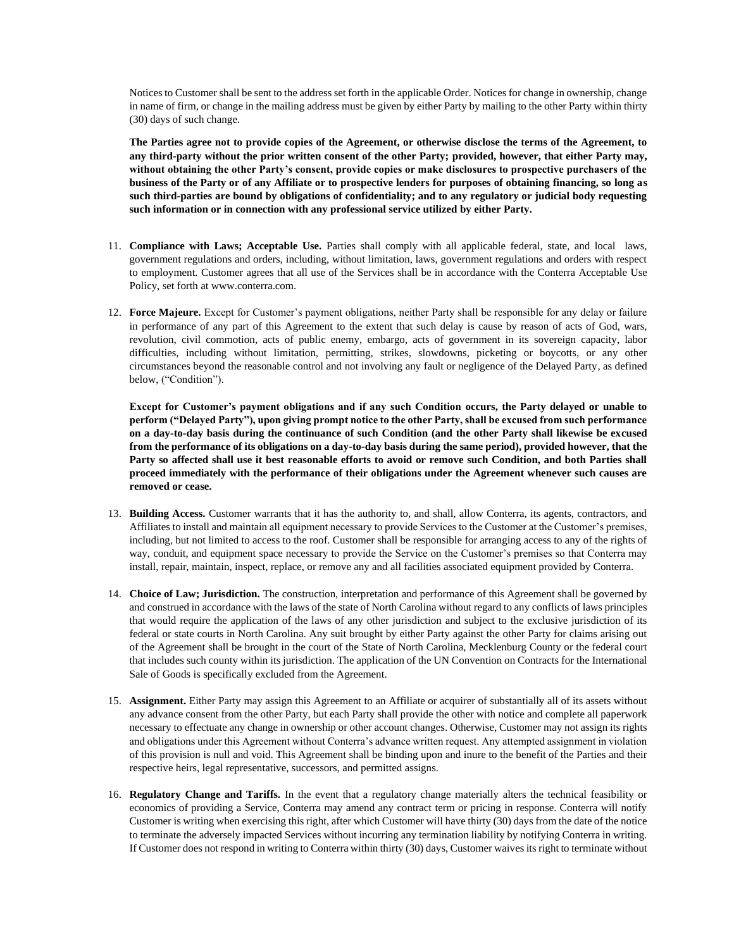Notices to Customer shall be sent to the address set forth in the applicable Order. Notices for change in ownership, change in name of firm, or change in the mailing address must be given by either Party by mailing to the other Party within thirty (30) days of such change.

**The Parties agree not to provide copies of the Agreement, or otherwise disclose the terms of the Agreement, to any third-party without the prior written consent of the other Party; provided, however, that either Party may, without obtaining the other Party's consent, provide copies or make disclosures to prospective purchasers of the business of the Party or of any Affiliate or to prospective lenders for purposes of obtaining financing, so long as such third-parties are bound by obligations of confidentiality; and to any regulatory or judicial body requesting such information or in connection with any professional service utilized by either Party.**

- 11. **Compliance with Laws; Acceptable Use.** Parties shall comply with all applicable federal, state, and local laws, government regulations and orders, including, without limitation, laws, government regulations and orders with respect to employment. Customer agrees that all use of the Services shall be in accordance with the Conterra Acceptable Use Policy, set forth at www.conterra.com.
- 12. **Force Majeure.** Except for Customer's payment obligations, neither Party shall be responsible for any delay or failure in performance of any part of this Agreement to the extent that such delay is cause by reason of acts of God, wars, revolution, civil commotion, acts of public enemy, embargo, acts of government in its sovereign capacity, labor difficulties, including without limitation, permitting, strikes, slowdowns, picketing or boycotts, or any other circumstances beyond the reasonable control and not involving any fault or negligence of the Delayed Party, as defined below, ("Condition").

**Except for Customer's payment obligations and if any such Condition occurs, the Party delayed or unable to perform ("Delayed Party"), upon giving prompt notice to the other Party, shall be excused from such performance on a day-to-day basis during the continuance of such Condition (and the other Party shall likewise be excused from the performance of its obligations on a day-to-day basis during the same period), provided however, that the Party so affected shall use it best reasonable efforts to avoid or remove such Condition, and both Parties shall proceed immediately with the performance of their obligations under the Agreement whenever such causes are removed or cease.**

- 13. **Building Access.** Customer warrants that it has the authority to, and shall, allow Conterra, its agents, contractors, and Affiliates to install and maintain all equipment necessary to provide Services to the Customer at the Customer's premises, including, but not limited to access to the roof. Customer shall be responsible for arranging access to any of the rights of way, conduit, and equipment space necessary to provide the Service on the Customer's premises so that Conterra may install, repair, maintain, inspect, replace, or remove any and all facilities associated equipment provided by Conterra.
- 14. **Choice of Law; Jurisdiction.** The construction, interpretation and performance of this Agreement shall be governed by and construed in accordance with the laws of the state of North Carolina without regard to any conflicts of laws principles that would require the application of the laws of any other jurisdiction and subject to the exclusive jurisdiction of its federal or state courts in North Carolina. Any suit brought by either Party against the other Party for claims arising out of the Agreement shall be brought in the court of the State of North Carolina, Mecklenburg County or the federal court that includes such county within its jurisdiction. The application of the UN Convention on Contracts for the International Sale of Goods is specifically excluded from the Agreement.
- 15. **Assignment.** Either Party may assign this Agreement to an Affiliate or acquirer of substantially all of its assets without any advance consent from the other Party, but each Party shall provide the other with notice and complete all paperwork necessary to effectuate any change in ownership or other account changes. Otherwise, Customer may not assign its rights and obligations under this Agreement without Conterra's advance written request. Any attempted assignment in violation of this provision is null and void. This Agreement shall be binding upon and inure to the benefit of the Parties and their respective heirs, legal representative, successors, and permitted assigns.
- 16. **Regulatory Change and Tariffs.** In the event that a regulatory change materially alters the technical feasibility or economics of providing a Service, Conterra may amend any contract term or pricing in response. Conterra will notify Customer is writing when exercising this right, after which Customer will have thirty (30) days from the date of the notice to terminate the adversely impacted Services without incurring any termination liability by notifying Conterra in writing. If Customer does not respond in writing to Conterra within thirty (30) days, Customer waives its right to terminate without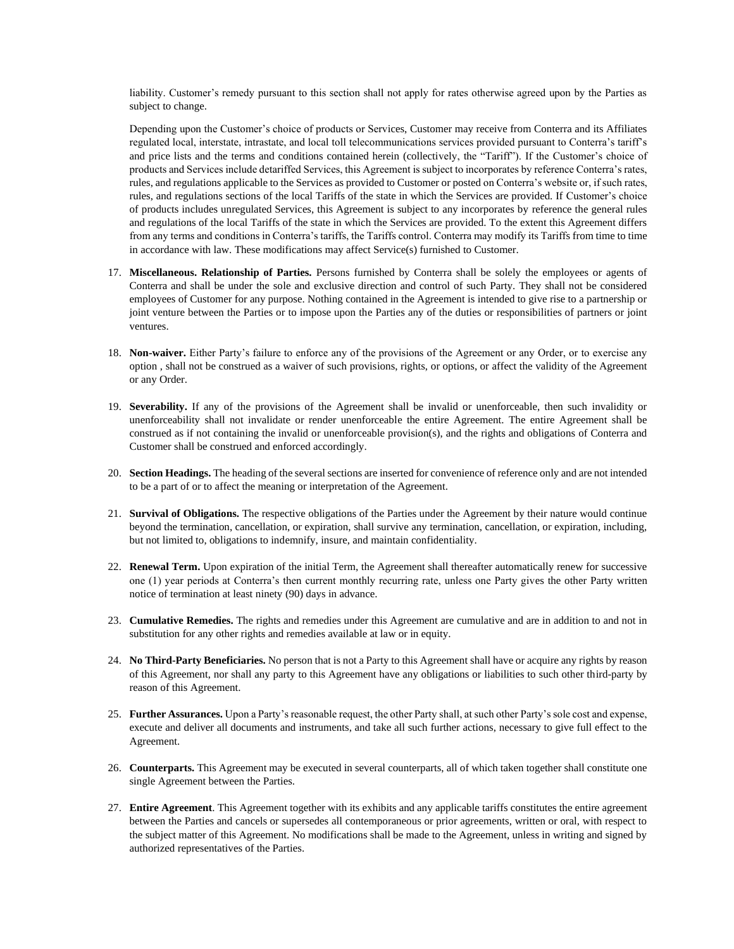liability. Customer's remedy pursuant to this section shall not apply for rates otherwise agreed upon by the Parties as subject to change.

Depending upon the Customer's choice of products or Services, Customer may receive from Conterra and its Affiliates regulated local, interstate, intrastate, and local toll telecommunications services provided pursuant to Conterra's tariff's and price lists and the terms and conditions contained herein (collectively, the "Tariff"). If the Customer's choice of products and Services include detariffed Services, this Agreement is subject to incorporates by reference Conterra's rates, rules, and regulations applicable to the Services as provided to Customer or posted on Conterra's website or, if such rates, rules, and regulations sections of the local Tariffs of the state in which the Services are provided. If Customer's choice of products includes unregulated Services, this Agreement is subject to any incorporates by reference the general rules and regulations of the local Tariffs of the state in which the Services are provided. To the extent this Agreement differs from any terms and conditions in Conterra's tariffs, the Tariffs control. Conterra may modify its Tariffs from time to time in accordance with law. These modifications may affect Service(s) furnished to Customer.

- 17. **Miscellaneous. Relationship of Parties.** Persons furnished by Conterra shall be solely the employees or agents of Conterra and shall be under the sole and exclusive direction and control of such Party. They shall not be considered employees of Customer for any purpose. Nothing contained in the Agreement is intended to give rise to a partnership or joint venture between the Parties or to impose upon the Parties any of the duties or responsibilities of partners or joint ventures.
- 18. **Non-waiver.** Either Party's failure to enforce any of the provisions of the Agreement or any Order, or to exercise any option , shall not be construed as a waiver of such provisions, rights, or options, or affect the validity of the Agreement or any Order.
- 19. **Severability.** If any of the provisions of the Agreement shall be invalid or unenforceable, then such invalidity or unenforceability shall not invalidate or render unenforceable the entire Agreement. The entire Agreement shall be construed as if not containing the invalid or unenforceable provision(s), and the rights and obligations of Conterra and Customer shall be construed and enforced accordingly.
- 20. **Section Headings.** The heading of the several sections are inserted for convenience of reference only and are not intended to be a part of or to affect the meaning or interpretation of the Agreement.
- 21. **Survival of Obligations.** The respective obligations of the Parties under the Agreement by their nature would continue beyond the termination, cancellation, or expiration, shall survive any termination, cancellation, or expiration, including, but not limited to, obligations to indemnify, insure, and maintain confidentiality.
- 22. **Renewal Term.** Upon expiration of the initial Term, the Agreement shall thereafter automatically renew for successive one (1) year periods at Conterra's then current monthly recurring rate, unless one Party gives the other Party written notice of termination at least ninety (90) days in advance.
- 23. **Cumulative Remedies.** The rights and remedies under this Agreement are cumulative and are in addition to and not in substitution for any other rights and remedies available at law or in equity.
- 24. **No Third-Party Beneficiaries.** No person that is not a Party to this Agreement shall have or acquire any rights by reason of this Agreement, nor shall any party to this Agreement have any obligations or liabilities to such other third-party by reason of this Agreement.
- 25. **Further Assurances.** Upon a Party's reasonable request, the other Party shall, at such other Party's sole cost and expense, execute and deliver all documents and instruments, and take all such further actions, necessary to give full effect to the Agreement.
- 26. **Counterparts.** This Agreement may be executed in several counterparts, all of which taken together shall constitute one single Agreement between the Parties.
- 27. **Entire Agreement**. This Agreement together with its exhibits and any applicable tariffs constitutes the entire agreement between the Parties and cancels or supersedes all contemporaneous or prior agreements, written or oral, with respect to the subject matter of this Agreement. No modifications shall be made to the Agreement, unless in writing and signed by authorized representatives of the Parties.